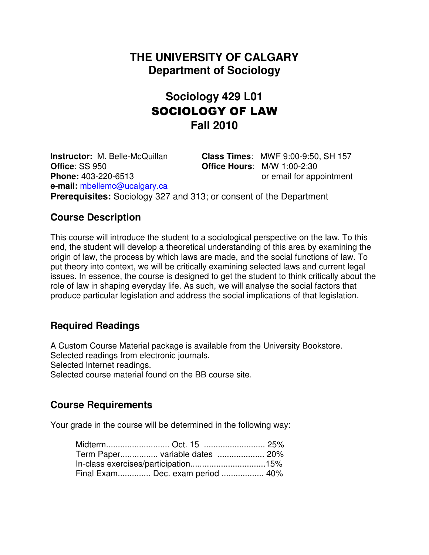# **THE UNIVERSITY OF CALGARY Department of Sociology**

# **Sociology 429 L01** SOCIOLOGY OF LAW **Fall 2010**

**Instructor:** M. Belle-McQuillan **Class Times**: MWF 9:00-9:50, SH 157 **Office**: SS 950 **Office Hours**: M/W 1:00-2:30 **Phone:** 403-220-6513 or email for appointment **e-mail:** mbellemc@ucalgary.ca **Prerequisites:** Sociology 327 and 313; or consent of the Department

# **Course Description**

This course will introduce the student to a sociological perspective on the law. To this end, the student will develop a theoretical understanding of this area by examining the origin of law, the process by which laws are made, and the social functions of law. To put theory into context, we will be critically examining selected laws and current legal issues. In essence, the course is designed to get the student to think critically about the role of law in shaping everyday life. As such, we will analyse the social factors that produce particular legislation and address the social implications of that legislation.

# **Required Readings**

A Custom Course Material package is available from the University Bookstore. Selected readings from electronic journals. Selected Internet readings. Selected course material found on the BB course site.

# **Course Requirements**

Your grade in the course will be determined in the following way:

| Midterm Oct. 15  25%                |  |
|-------------------------------------|--|
| Term Paper variable dates  20%      |  |
| In-class exercises/participation15% |  |
| Final Exam Dec. exam period  40%    |  |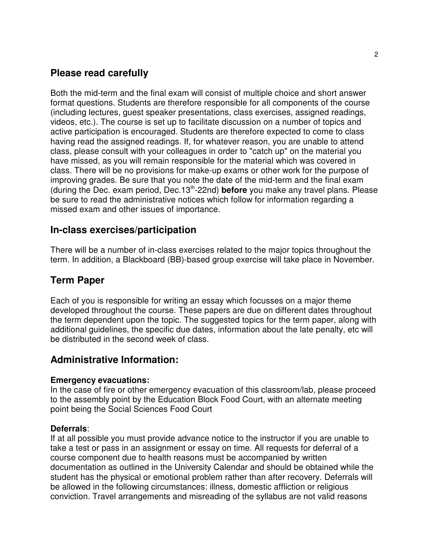# **Please read carefully**

Both the mid-term and the final exam will consist of multiple choice and short answer format questions. Students are therefore responsible for all components of the course (including lectures, guest speaker presentations, class exercises, assigned readings, videos, etc.). The course is set up to facilitate discussion on a number of topics and active participation is encouraged. Students are therefore expected to come to class having read the assigned readings. If, for whatever reason, you are unable to attend class, please consult with your colleagues in order to "catch up" on the material you have missed, as you will remain responsible for the material which was covered in class. There will be no provisions for make-up exams or other work for the purpose of improving grades. Be sure that you note the date of the mid-term and the final exam (during the Dec. exam period, Dec.13th-22nd) **before** you make any travel plans. Please be sure to read the administrative notices which follow for information regarding a missed exam and other issues of importance.

## **In-class exercises/participation**

There will be a number of in-class exercises related to the major topics throughout the term. In addition, a Blackboard (BB)-based group exercise will take place in November.

## **Term Paper**

Each of you is responsible for writing an essay which focusses on a major theme developed throughout the course. These papers are due on different dates throughout the term dependent upon the topic. The suggested topics for the term paper, along with additional guidelines, the specific due dates, information about the late penalty, etc will be distributed in the second week of class.

## **Administrative Information:**

#### **Emergency evacuations:**

In the case of fire or other emergency evacuation of this classroom/lab, please proceed to the assembly point by the Education Block Food Court, with an alternate meeting point being the Social Sciences Food Court

#### **Deferrals**:

If at all possible you must provide advance notice to the instructor if you are unable to take a test or pass in an assignment or essay on time. All requests for deferral of a course component due to health reasons must be accompanied by written documentation as outlined in the University Calendar and should be obtained while the student has the physical or emotional problem rather than after recovery. Deferrals will be allowed in the following circumstances: illness, domestic affliction or religious conviction. Travel arrangements and misreading of the syllabus are not valid reasons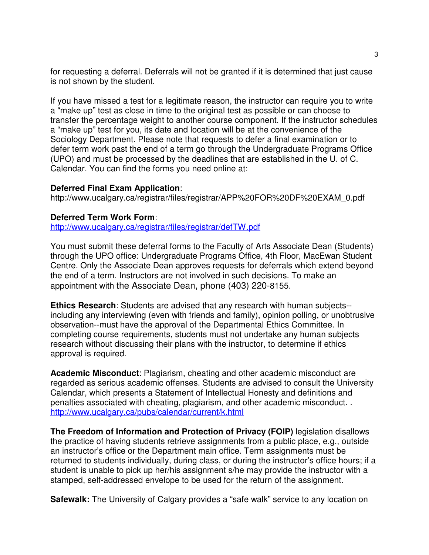for requesting a deferral. Deferrals will not be granted if it is determined that just cause is not shown by the student.

If you have missed a test for a legitimate reason, the instructor can require you to write a "make up" test as close in time to the original test as possible or can choose to transfer the percentage weight to another course component. If the instructor schedules a "make up" test for you, its date and location will be at the convenience of the Sociology Department. Please note that requests to defer a final examination or to defer term work past the end of a term go through the Undergraduate Programs Office (UPO) and must be processed by the deadlines that are established in the U. of C. Calendar. You can find the forms you need online at:

#### **Deferred Final Exam Application**:

http://www.ucalgary.ca/registrar/files/registrar/APP%20FOR%20DF%20EXAM\_0.pdf

#### **Deferred Term Work Form**:

http://www.ucalgary.ca/registrar/files/registrar/defTW.pdf

You must submit these deferral forms to the Faculty of Arts Associate Dean (Students) through the UPO office: Undergraduate Programs Office, 4th Floor, MacEwan Student Centre. Only the Associate Dean approves requests for deferrals which extend beyond the end of a term. Instructors are not involved in such decisions. To make an appointment with the Associate Dean, phone (403) 220-8155.

**Ethics Research**: Students are advised that any research with human subjects- including any interviewing (even with friends and family), opinion polling, or unobtrusive observation--must have the approval of the Departmental Ethics Committee. In completing course requirements, students must not undertake any human subjects research without discussing their plans with the instructor, to determine if ethics approval is required.

**Academic Misconduct**: Plagiarism, cheating and other academic misconduct are regarded as serious academic offenses. Students are advised to consult the University Calendar, which presents a Statement of Intellectual Honesty and definitions and penalties associated with cheating, plagiarism, and other academic misconduct. . http://www.ucalgary.ca/pubs/calendar/current/k.html

**The Freedom of Information and Protection of Privacy (FOIP)** legislation disallows the practice of having students retrieve assignments from a public place, e.g., outside an instructor's office or the Department main office. Term assignments must be returned to students individually, during class, or during the instructor's office hours; if a student is unable to pick up her/his assignment s/he may provide the instructor with a stamped, self-addressed envelope to be used for the return of the assignment.

**Safewalk:** The University of Calgary provides a "safe walk" service to any location on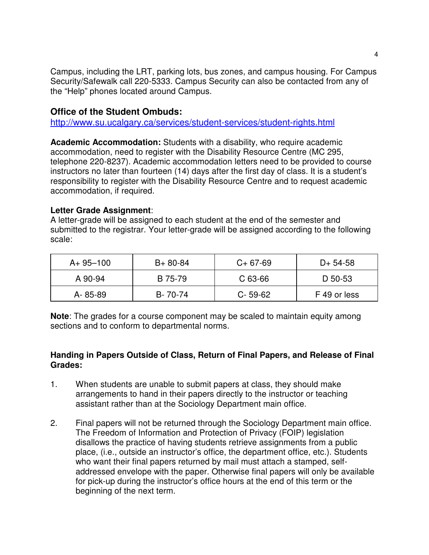Campus, including the LRT, parking lots, bus zones, and campus housing. For Campus Security/Safewalk call 220-5333. Campus Security can also be contacted from any of the "Help" phones located around Campus.

### **Office of the Student Ombuds:**

http://www.su.ucalgary.ca/services/student-services/student-rights.html

**Academic Accommodation:** Students with a disability, who require academic accommodation, need to register with the Disability Resource Centre (MC 295, telephone 220-8237). Academic accommodation letters need to be provided to course instructors no later than fourteen (14) days after the first day of class. It is a student's responsibility to register with the Disability Resource Centre and to request academic accommodation, if required.

### **Letter Grade Assignment**:

A letter-grade will be assigned to each student at the end of the semester and submitted to the registrar. Your letter-grade will be assigned according to the following scale:

| $A + 95 - 100$ | $B+80-84$ | $C+67-69$     | D+ 54-58     |
|----------------|-----------|---------------|--------------|
| A 90-94        | B 75-79   | $C$ 63-66     | D 50-53      |
| A-85-89        | B-70-74   | $C - 59 - 62$ | F 49 or less |

**Note**: The grades for a course component may be scaled to maintain equity among sections and to conform to departmental norms.

### **Handing in Papers Outside of Class, Return of Final Papers, and Release of Final Grades:**

- 1. When students are unable to submit papers at class, they should make arrangements to hand in their papers directly to the instructor or teaching assistant rather than at the Sociology Department main office.
- 2. Final papers will not be returned through the Sociology Department main office. The Freedom of Information and Protection of Privacy (FOIP) legislation disallows the practice of having students retrieve assignments from a public place, (i.e., outside an instructor's office, the department office, etc.). Students who want their final papers returned by mail must attach a stamped, selfaddressed envelope with the paper. Otherwise final papers will only be available for pick-up during the instructor's office hours at the end of this term or the beginning of the next term.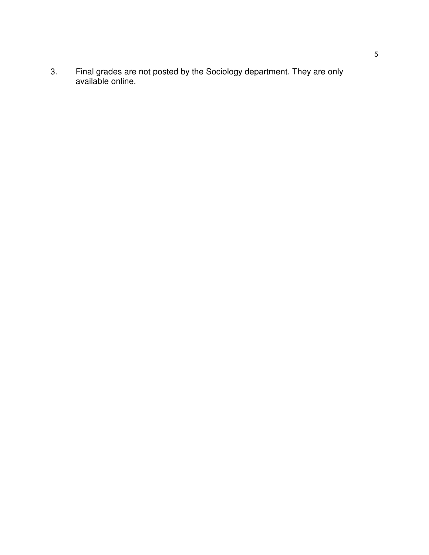3. Final grades are not posted by the Sociology department. They are only available online.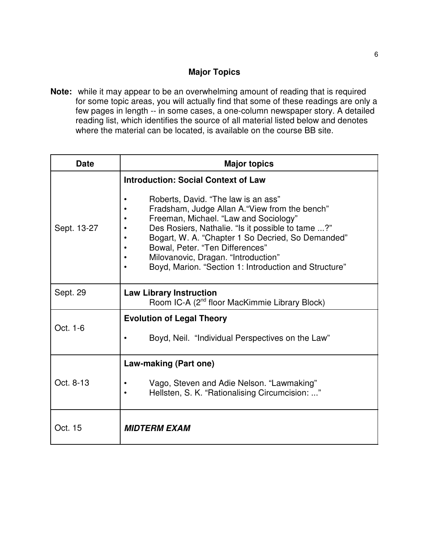### **Major Topics**

**Note:** while it may appear to be an overwhelming amount of reading that is required for some topic areas, you will actually find that some of these readings are only a few pages in length -- in some cases, a one-column newspaper story. A detailed reading list, which identifies the source of all material listed below and denotes where the material can be located, is available on the course BB site.

| <b>Date</b> | <b>Major topics</b>                                                                                                                                                                                                                                                                                                                                                         |
|-------------|-----------------------------------------------------------------------------------------------------------------------------------------------------------------------------------------------------------------------------------------------------------------------------------------------------------------------------------------------------------------------------|
|             | <b>Introduction: Social Context of Law</b>                                                                                                                                                                                                                                                                                                                                  |
| Sept. 13-27 | Roberts, David. "The law is an ass"<br>Fradsham, Judge Allan A. "View from the bench"<br>Freeman, Michael. "Law and Sociology"<br>Des Rosiers, Nathalie. "Is it possible to tame ?"<br>Bogart, W. A. "Chapter 1 So Decried, So Demanded"<br>Bowal, Peter. "Ten Differences"<br>Milovanovic, Dragan. "Introduction"<br>Boyd, Marion. "Section 1: Introduction and Structure" |
| Sept. 29    | <b>Law Library Instruction</b><br>Room IC-A (2 <sup>nd</sup> floor MacKimmie Library Block)                                                                                                                                                                                                                                                                                 |
| Oct. 1-6    | <b>Evolution of Legal Theory</b>                                                                                                                                                                                                                                                                                                                                            |
|             | Boyd, Neil. "Individual Perspectives on the Law"                                                                                                                                                                                                                                                                                                                            |
| Oct. 8-13   | Law-making (Part one)                                                                                                                                                                                                                                                                                                                                                       |
|             | Vago, Steven and Adie Nelson. "Lawmaking"<br>Hellsten, S. K. "Rationalising Circumcision: "                                                                                                                                                                                                                                                                                 |
| Oct. 15     | <b>MIDTERM EXAM</b>                                                                                                                                                                                                                                                                                                                                                         |